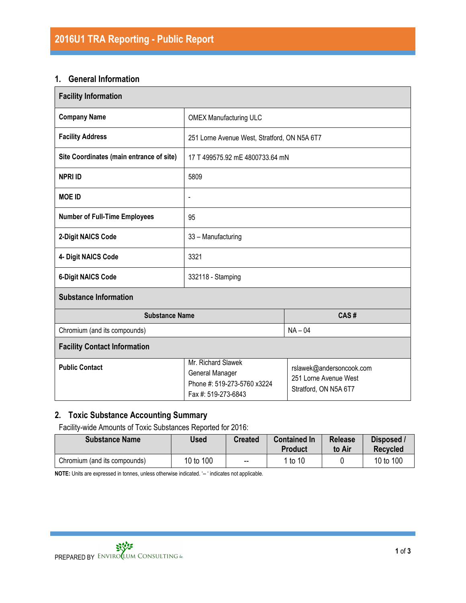#### 1. General Information

| <b>Facility Information</b>              |                                                                                             |                                                                            |  |  |
|------------------------------------------|---------------------------------------------------------------------------------------------|----------------------------------------------------------------------------|--|--|
| <b>Company Name</b>                      | <b>OMEX Manufacturing ULC</b>                                                               |                                                                            |  |  |
| <b>Facility Address</b>                  | 251 Lorne Avenue West, Stratford, ON N5A 6T7                                                |                                                                            |  |  |
| Site Coordinates (main entrance of site) | 17 T 499575.92 mE 4800733.64 mN                                                             |                                                                            |  |  |
| <b>NPRI ID</b>                           | 5809                                                                                        |                                                                            |  |  |
| <b>MOE ID</b>                            | -                                                                                           |                                                                            |  |  |
| <b>Number of Full-Time Employees</b>     | 95                                                                                          |                                                                            |  |  |
| 2-Digit NAICS Code                       | 33 - Manufacturing                                                                          |                                                                            |  |  |
| 4- Digit NAICS Code                      | 3321                                                                                        |                                                                            |  |  |
| <b>6-Digit NAICS Code</b>                | 332118 - Stamping                                                                           |                                                                            |  |  |
| <b>Substance Information</b>             |                                                                                             |                                                                            |  |  |
| <b>Substance Name</b>                    | CAS#                                                                                        |                                                                            |  |  |
| Chromium (and its compounds)             |                                                                                             | $NA - 04$                                                                  |  |  |
| <b>Facility Contact Information</b>      |                                                                                             |                                                                            |  |  |
| <b>Public Contact</b>                    | Mr. Richard Slawek<br>General Manager<br>Phone #: 519-273-5760 x3224<br>Fax #: 519-273-6843 | rslawek@andersoncook.com<br>251 Lorne Avenue West<br>Stratford, ON N5A 6T7 |  |  |

## 2. Toxic Substance Accounting Summary

Facility-wide Amounts of Toxic Substances Reported for 2016:

| <b>Substance Name</b>        | Used      | <b>Created</b> | <b>Contained In</b><br>Product | <b>Release</b><br>to Air | Disposed /<br><b>Recvcled</b> |
|------------------------------|-----------|----------------|--------------------------------|--------------------------|-------------------------------|
| Chromium (and its compounds) | 10 to 100 | $\sim$ $\sim$  | 1 to 10                        |                          | 10 to 100                     |

NOTE: Units are expressed in tonnes, unless otherwise indicated. '-- ' indicates not applicable.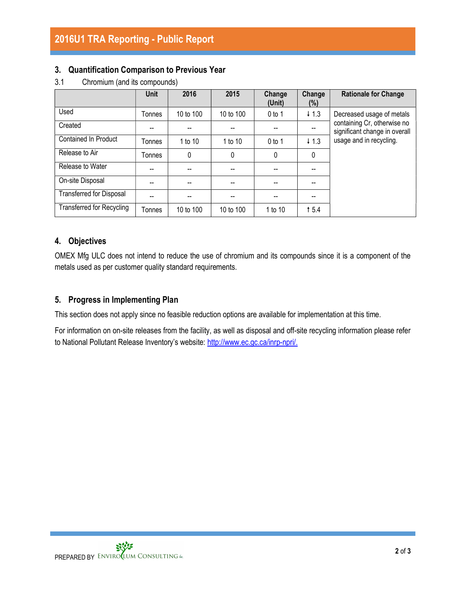### 3. Quantification Comparison to Previous Year

|                                  | <b>Unit</b> | 2016      | 2015      | Change<br>(Unit) | Change<br>$(\%)$ | <b>Rationale for Change</b>                                  |
|----------------------------------|-------------|-----------|-----------|------------------|------------------|--------------------------------------------------------------|
| Used                             | Tonnes      | 10 to 100 | 10 to 100 | $0$ to 1         | $+1.3$           | Decreased usage of metals                                    |
| Created                          |             |           |           |                  |                  | containing Cr, otherwise no<br>significant change in overall |
| Contained In Product             | Tonnes      | 1 to 10   | 1 to 10   | $0$ to 1         | $\downarrow$ 1.3 | usage and in recycling.                                      |
| Release to Air                   | Tonnes      | 0         | 0         | 0                | 0                |                                                              |
| Release to Water                 | --          |           |           | --               |                  |                                                              |
| On-site Disposal                 | --          |           |           |                  |                  |                                                              |
| Transferred for Disposal         |             |           |           |                  |                  |                                                              |
| <b>Transferred for Recycling</b> | Tonnes      | 10 to 100 | 10 to 100 | 1 to 10          | 15.4             |                                                              |

3.1 Chromium (and its compounds)

## 4. Objectives

OMEX Mfg ULC does not intend to reduce the use of chromium and its compounds since it is a component of the metals used as per customer quality standard requirements.

### 5. Progress in Implementing Plan

This section does not apply since no feasible reduction options are available for implementation at this time.

For information on on-site releases from the facility, as well as disposal and off-site recycling information please refer to National Pollutant Release Inventory's website: http://www.ec.gc.ca/inrp-npri/.